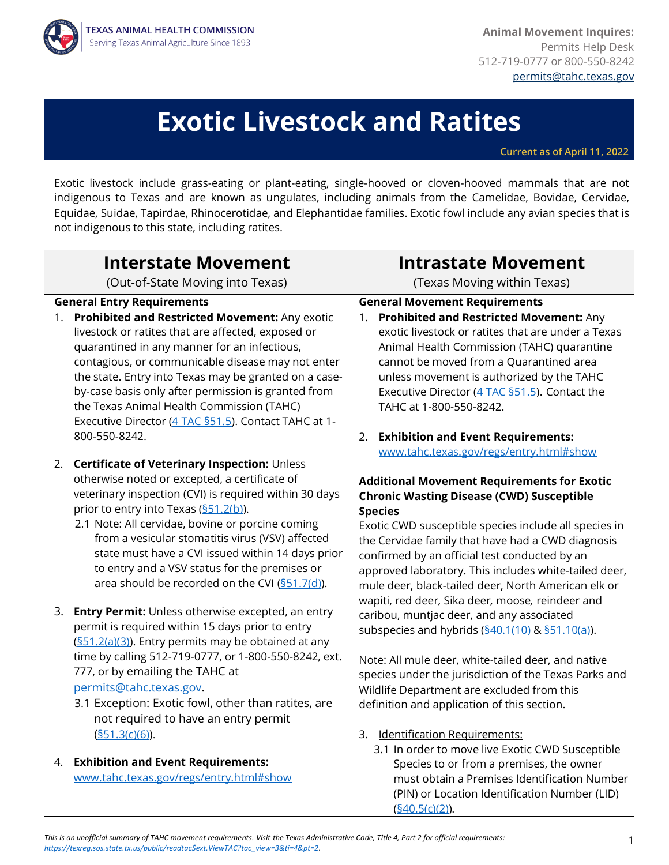

**Animal Movement Inquires:** Permits Help Desk 512-719-0777 or 800-550-8242 [permits@tahc.texas.gov](mailto:permits@tahc.texas.gov)

# **Exotic Livestock and Ratites**

**Current as of April 11, 2022**

Exotic livestock include grass-eating or plant-eating, single-hooved or cloven-hooved mammals that are not indigenous to Texas and are known as ungulates, including animals from the Camelidae, Bovidae, Cervidae, Equidae, Suidae, Tapirdae, Rhinocerotidae, and Elephantidae families. Exotic fowl include any avian species that is not indigenous to this state, including ratites.

| <b>Interstate Movement</b>                                                                                                                                                                                                                                                                                                                                                                                                                                                                 | <b>Intrastate Movement</b>                                                                                                                                                                                                                                                                                                                                                                                                                                                                            |
|--------------------------------------------------------------------------------------------------------------------------------------------------------------------------------------------------------------------------------------------------------------------------------------------------------------------------------------------------------------------------------------------------------------------------------------------------------------------------------------------|-------------------------------------------------------------------------------------------------------------------------------------------------------------------------------------------------------------------------------------------------------------------------------------------------------------------------------------------------------------------------------------------------------------------------------------------------------------------------------------------------------|
| (Out-of-State Moving into Texas)                                                                                                                                                                                                                                                                                                                                                                                                                                                           | (Texas Moving within Texas)                                                                                                                                                                                                                                                                                                                                                                                                                                                                           |
| <b>General Entry Requirements</b><br>Prohibited and Restricted Movement: Any exotic<br>1.<br>livestock or ratites that are affected, exposed or<br>quarantined in any manner for an infectious,<br>contagious, or communicable disease may not enter<br>the state. Entry into Texas may be granted on a case-<br>by-case basis only after permission is granted from<br>the Texas Animal Health Commission (TAHC)<br>Executive Director (4 TAC §51.5). Contact TAHC at 1-<br>800-550-8242. | <b>General Movement Requirements</b><br>Prohibited and Restricted Movement: Any<br>1.<br>exotic livestock or ratites that are under a Texas<br>Animal Health Commission (TAHC) quarantine<br>cannot be moved from a Quarantined area<br>unless movement is authorized by the TAHC<br>Executive Director (4 TAC §51.5). Contact the<br>TAHC at 1-800-550-8242.                                                                                                                                         |
| 2. Certificate of Veterinary Inspection: Unless<br>otherwise noted or excepted, a certificate of<br>veterinary inspection (CVI) is required within 30 days<br>prior to entry into Texas (§51.2(b)).<br>2.1 Note: All cervidae, bovine or porcine coming<br>from a vesicular stomatitis virus (VSV) affected<br>state must have a CVI issued within 14 days prior<br>to entry and a VSV status for the premises or<br>area should be recorded on the CVI (§51.7(d)).                        | <b>Exhibition and Event Requirements:</b><br>2.<br>www.tahc.texas.gov/regs/entry.html#show<br><b>Additional Movement Requirements for Exotic</b><br><b>Chronic Wasting Disease (CWD) Susceptible</b><br><b>Species</b><br>Exotic CWD susceptible species include all species in<br>the Cervidae family that have had a CWD diagnosis<br>confirmed by an official test conducted by an<br>approved laboratory. This includes white-tailed deer,<br>mule deer, black-tailed deer, North American elk or |
| 3.<br>Entry Permit: Unless otherwise excepted, an entry<br>permit is required within 15 days prior to entry<br>(§51.2(a)(3)). Entry permits may be obtained at any<br>time by calling 512-719-0777, or 1-800-550-8242, ext.<br>777, or by emailing the TAHC at<br>permits@tahc.texas.gov.<br>3.1 Exception: Exotic fowl, other than ratites, are<br>not required to have an entry permit                                                                                                   | wapiti, red deer, Sika deer, moose, reindeer and<br>caribou, muntjac deer, and any associated<br>subspecies and hybrids (\$40.1(10) & \$51.10(a)).<br>Note: All mule deer, white-tailed deer, and native<br>species under the jurisdiction of the Texas Parks and<br>Wildlife Department are excluded from this<br>definition and application of this section.                                                                                                                                        |
| $($ §51.3(c)(6)).<br>4. Exhibition and Event Requirements:<br>www.tahc.texas.gov/regs/entry.html#show                                                                                                                                                                                                                                                                                                                                                                                      | 3. Identification Requirements:<br>3.1 In order to move live Exotic CWD Susceptible<br>Species to or from a premises, the owner<br>must obtain a Premises Identification Number<br>(PIN) or Location Identification Number (LID)<br>(§40.5(c)(2)).                                                                                                                                                                                                                                                    |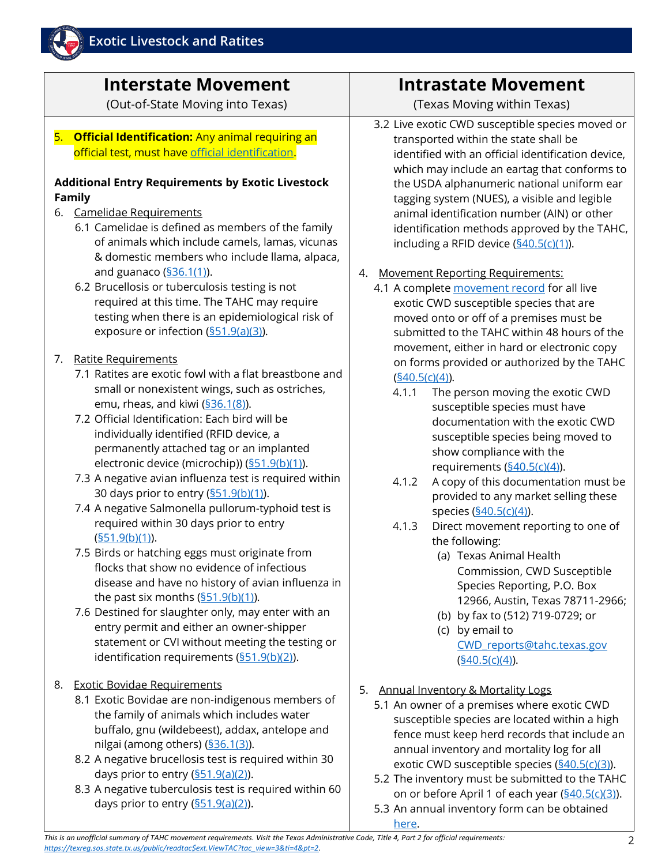

# **Interstate Movement**

(Out-of-State Moving into Texas)

5. **Official Identification:** Any animal requiring an official test, must have [official identification.](https://www.tahc.texas.gov/adt/pdf/ADT_OfficialIdentification.pdf)

#### **Additional Entry Requirements by Exotic Livestock Family**

#### 6. Camelidae Requirements

- 6.1 Camelidae is defined as members of the family of animals which include camels, lamas, vicunas & domestic members who include llama, alpaca, and guanaco  $(S36.1(1))$ .
- 6.2 Brucellosis or tuberculosis testing is not required at this time. The TAHC may require testing when there is an epidemiological risk of exposure or infection [\(§51.9\(a\)\(3\)\)](https://texreg.sos.state.tx.us/public/readtac$ext.TacPage?sl=R&app=9&p_dir=&p_rloc=&p_tloc=&p_ploc=&pg=1&p_tac=&ti=4&pt=2&ch=51&rl=9).

#### 7. Ratite Requirements

- 7.1 Ratites are exotic fowl with a flat breastbone and small or nonexistent wings, such as ostriches, emu, rheas, and kiwi [\(§36.1\(8\)\)](https://texreg.sos.state.tx.us/public/readtac$ext.TacPage?sl=R&app=9&p_dir=&p_rloc=&p_tloc=&p_ploc=&pg=1&p_tac=&ti=4&pt=2&ch=36&rl=1).
- 7.2 Official Identification: Each bird will be individually identified (RFID device, a permanently attached tag or an implanted electronic device (microchip)) [\(§51.9\(b\)\(1\)\)](https://texreg.sos.state.tx.us/public/readtac$ext.TacPage?sl=R&app=9&p_dir=&p_rloc=&p_tloc=&p_ploc=&pg=1&p_tac=&ti=4&pt=2&ch=51&rl=9).
- 7.3 A negative avian influenza test is required within 30 days prior to entry [\(§51.9\(b\)\(1\)\)](https://texreg.sos.state.tx.us/public/readtac$ext.TacPage?sl=R&app=9&p_dir=&p_rloc=&p_tloc=&p_ploc=&pg=1&p_tac=&ti=4&pt=2&ch=51&rl=9).
- 7.4 A negative Salmonella pullorum-typhoid test is required within 30 days prior to entry  $(§51.9(b)(1)).$  $(§51.9(b)(1)).$
- 7.5 Birds or hatching eggs must originate from flocks that show no evidence of infectious disease and have no history of avian influenza in the past six months  $(\frac{551.9(b)(1)}{2})$ .
- 7.6 Destined for slaughter only, may enter with an entry permit and either an owner-shipper statement or CVI without meeting the testing or identification requirements  $(\frac{551.9(b)(2)}{2})$ .
- 8. Exotic Bovidae Requirements
	- 8.1 Exotic Bovidae are non-indigenous members of the family of animals which includes water buffalo, gnu (wildebeest), addax, antelope and nilgai (among others) [\(§36.1\(3\)\)](https://texreg.sos.state.tx.us/public/readtac$ext.TacPage?sl=R&app=9&p_dir=&p_rloc=&p_tloc=&p_ploc=&pg=1&p_tac=&ti=4&pt=2&ch=36&rl=1).
	- 8.2 A negative brucellosis test is required within 30 days prior to entry  $(\frac{551.9(a)(2)}{2})$ .
	- 8.3 A negative tuberculosis test is required within 60 days prior to entry  $(\frac{551.9(a)(2)}{2})$ .

### **Intrastate Movement**

(Texas Moving within Texas)

- 3.2 Live exotic CWD susceptible species moved or transported within the state shall be identified with an official identification device, which may include an eartag that conforms to the USDA alphanumeric national uniform ear tagging system (NUES), a visible and legible animal identification number (AIN) or other identification methods approved by the TAHC, including a RFID device  $(\underline{§40.5(c)(1)})$ .
- 4. Movement Reporting Requirements:
	- 4.1 A complete [movement record](https://www.tahc.texas.gov/animal_health/elk-deer/PDF/13-05_ExoticCWDSusceptibleSpeciesMovementRecord.pdf) for all live exotic CWD susceptible species that are moved onto or off of a premises must be submitted to the TAHC within 48 hours of the movement, either in hard or electronic copy on forms provided or authorized by the TAHC [\(§40.5\(c\)\(4\)\)](https://texreg.sos.state.tx.us/public/readtac$ext.TacPage?sl=R&app=9&p_dir=&p_rloc=&p_tloc=&p_ploc=&pg=1&p_tac=&ti=4&pt=2&ch=40&rl=5).
		- 4.1.1 The person moving the exotic CWD susceptible species must have documentation with the exotic CWD susceptible species being moved to show compliance with the requirements (\$40.5(c)(4)).
		- 4.1.2 A copy of this documentation must be provided to any market selling these species [\(§40.5\(c\)\(4\)\)](https://texreg.sos.state.tx.us/public/readtac$ext.TacPage?sl=R&app=9&p_dir=&p_rloc=&p_tloc=&p_ploc=&pg=1&p_tac=&ti=4&pt=2&ch=40&rl=5).
		- 4.1.3 Direct movement reporting to one of the following:
			- (a) Texas Animal Health Commission, CWD Susceptible Species Reporting, P.O. Box 12966, Austin, Texas 78711-2966;
			- (b) by fax to (512) 719-0729; or
			- (c) by email to [CWD\\_reports@tahc.texas.gov](mailto:CWD_reports@tahc.texas.gov)  $(§40.5(c)(4)).$  $(§40.5(c)(4)).$
- 5. Annual Inventory & Mortality Logs
	- 5.1 An owner of a premises where exotic CWD susceptible species are located within a high fence must keep herd records that include an annual inventory and mortality log for all exotic CWD susceptible species [\(§40.5\(c\)\(3\)\)](https://texreg.sos.state.tx.us/public/readtac$ext.TacPage?sl=R&app=9&p_dir=&p_rloc=&p_tloc=&p_ploc=&pg=1&p_tac=&ti=4&pt=2&ch=40&rl=5).
	- 5.2 The inventory must be submitted to the TAHC on or before April 1 of each year [\(§40.5\(c\)\(3\)\)](https://texreg.sos.state.tx.us/public/readtac$ext.TacPage?sl=R&app=9&p_dir=&p_rloc=&p_tloc=&p_ploc=&pg=1&p_tac=&ti=4&pt=2&ch=40&rl=5).
	- 5.3 An annual inventory form can be obtained <u>here</u>.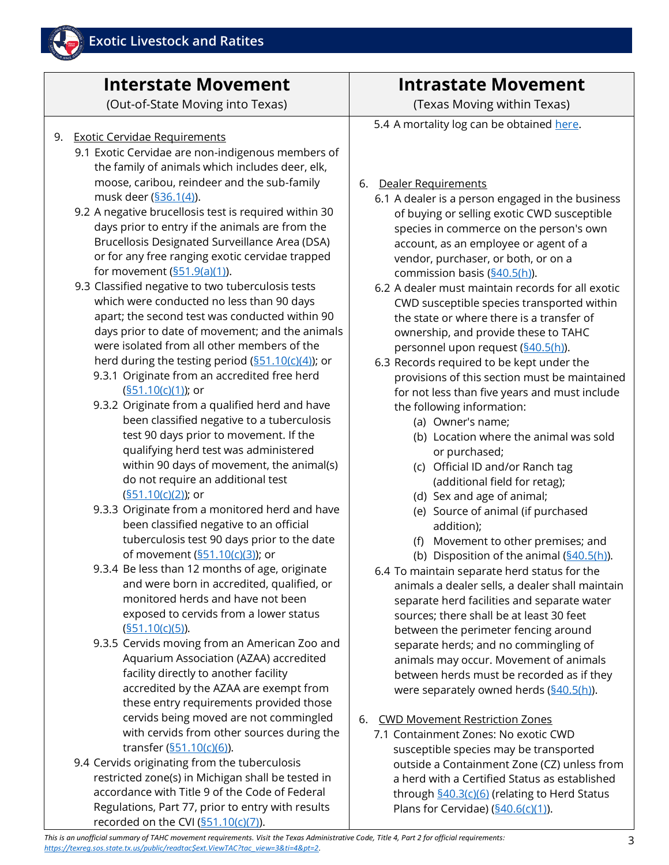

## **Interstate Movement**

(Out-of-State Moving into Texas)

- 9. Exotic Cervidae Requirements
	- 9.1 Exotic Cervidae are non-indigenous members of the family of animals which includes deer, elk, moose, caribou, reindeer and the sub-family musk deer [\(§36.1\(4\)\)](https://texreg.sos.state.tx.us/public/readtac$ext.TacPage?sl=R&app=9&p_dir=&p_rloc=&p_tloc=&p_ploc=&pg=1&p_tac=&ti=4&pt=2&ch=36&rl=1).
	- 9.2 A negative brucellosis test is required within 30 days prior to entry if the animals are from the Brucellosis Designated Surveillance Area (DSA) or for any free ranging exotic cervidae trapped for movement [\(§51.9\(a\)\(1\)\)](https://texreg.sos.state.tx.us/public/readtac$ext.TacPage?sl=R&app=9&p_dir=&p_rloc=&p_tloc=&p_ploc=&pg=1&p_tac=&ti=4&pt=2&ch=51&rl=9).
	- 9.3 Classified negative to two tuberculosis tests which were conducted no less than 90 days apart; the second test was conducted within 90 days prior to date of movement; and the animals were isolated from all other members of the herd during the testing period  $(\frac{551.10(c)(4)}{4})$ ; or
		- 9.3.1 Originate from an accredited free herd [\(§51.10\(c\)\(1\)\)](https://texreg.sos.state.tx.us/public/readtac$ext.TacPage?sl=R&app=9&p_dir=&p_rloc=&p_tloc=&p_ploc=&pg=1&p_tac=&ti=4&pt=2&ch=51&rl=10); or
		- 9.3.2 Originate from a qualified herd and have been classified negative to a tuberculosis test 90 days prior to movement. If the qualifying herd test was administered within 90 days of movement, the animal(s) do not require an additional test [\(§51.10\(c\)\(2\)\)](https://texreg.sos.state.tx.us/public/readtac$ext.TacPage?sl=R&app=9&p_dir=&p_rloc=&p_tloc=&p_ploc=&pg=1&p_tac=&ti=4&pt=2&ch=51&rl=10); or
		- 9.3.3 Originate from a monitored herd and have been classified negative to an official tuberculosis test 90 days prior to the date of movement  $(\frac{§51.10(c)(3)}{§}$ ; or
		- 9.3.4 Be less than 12 months of age, originate and were born in accredited, qualified, or monitored herds and have not been exposed to cervids from a lower status [\(§51.10\(c\)\(5\)\)](https://texreg.sos.state.tx.us/public/readtac$ext.TacPage?sl=R&app=9&p_dir=&p_rloc=&p_tloc=&p_ploc=&pg=1&p_tac=&ti=4&pt=2&ch=51&rl=10).
		- 9.3.5 Cervids moving from an American Zoo and Aquarium Association (AZAA) accredited facility directly to another facility accredited by the AZAA are exempt from these entry requirements provided those cervids being moved are not commingled with cervids from other sources during the transfer  $(§51.10(c)(6))$ .
	- 9.4 Cervids originating from the tuberculosis restricted zone(s) in Michigan shall be tested in accordance with Title 9 of the Code of Federal Regulations, Part 77, prior to entry with results recorded on the CVI  $(§51.10(c)(7))$ .

## **Intrastate Movement**

(Texas Moving within Texas)

5.4 A mortality log can be obtained [here.](https://www.tahc.texas.gov/animal_health/elk-deer/PDF/17-10_ExoticCWDSusceptibleSpeciesMortalityRecord.pdf)

- 6. Dealer Requirements
	- 6.1 A dealer is a person engaged in the business of buying or selling exotic CWD susceptible species in commerce on the person's own account, as an employee or agent of a vendor, purchaser, or both, or on a commission basis [\(§40.5\(h\)\)](https://texreg.sos.state.tx.us/public/readtac$ext.TacPage?sl=R&app=9&p_dir=&p_rloc=&p_tloc=&p_ploc=&pg=1&p_tac=&ti=4&pt=2&ch=40&rl=5).
	- 6.2 A dealer must maintain records for all exotic CWD susceptible species transported within the state or where there is a transfer of ownership, and provide these to TAHC personnel upon request (**§40.5(h**).
	- 6.3 Records required to be kept under the provisions of this section must be maintained for not less than five years and must include the following information:
		- (a) Owner's name;
		- (b) Location where the animal was sold or purchased;
		- (c) Official ID and/or Ranch tag (additional field for retag);
		- (d) Sex and age of animal;
		- (e) Source of animal (if purchased addition);
		- (f) Movement to other premises; and
		- (b) Disposition of the animal  $(\frac{§40.5(h)}{).}$
	- 6.4 To maintain separate herd status for the animals a dealer sells, a dealer shall maintain separate herd facilities and separate water sources; there shall be at least 30 feet between the perimeter fencing around separate herds; and no commingling of animals may occur. Movement of animals between herds must be recorded as if they were separately owned herds  $(\frac{§40.5(h)}{).}$
- 6. CWD Movement Restriction Zones
	- 7.1 Containment Zones: No exotic CWD susceptible species may be transported outside a Containment Zone (CZ) unless from a herd with a Certified Status as established through [§40.3\(c\)\(6\)](https://texreg.sos.state.tx.us/public/readtac$ext.TacPage?sl=R&app=9&p_dir=&p_rloc=&p_tloc=&p_ploc=&pg=1&p_tac=&ti=4&pt=2&ch=40&rl=3) (relating to Herd Status Plans for Cervidae) (\$40.6(c)(1)).

*This is an unofficial summary of TAHC movement requirements. Visit the Texas Administrative Code, Title 4, Part 2 for official requirements: [https://texreg.sos.state.tx.us/public/readtac\\$ext.ViewTAC?tac\\_view=3&ti=4&pt=2.](https://texreg.sos.state.tx.us/public/readtac$ext.ViewTAC?tac_view=3&ti=4&pt=2)*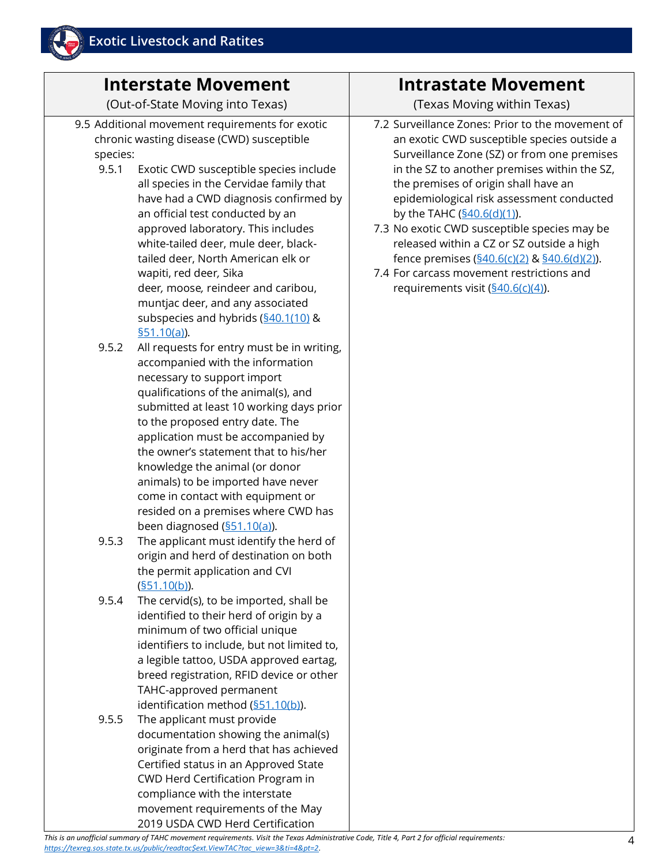## **Interstate Movement**

(Out-of-State Moving into Texas)

- 9.5 Additional movement requirements for exotic chronic wasting disease (CWD) susceptible species:
	- 9.5.1 Exotic CWD susceptible species include all species in the Cervidae family that have had a CWD diagnosis confirmed by an official test conducted by an approved laboratory. This includes white-tailed deer, mule deer, blacktailed deer, North American elk or wapiti, red deer*,* Sika deer*,* moose*,* reindeer and caribou, muntjac deer, and any associated subspecies and hybrids (\$40.1(10) & [§51.10\(a\)\)](https://texreg.sos.state.tx.us/public/readtac$ext.TacPage?sl=R&app=9&p_dir=&p_rloc=&p_tloc=&p_ploc=&pg=1&p_tac=&ti=4&pt=2&ch=51&rl=10).
	- 9.5.2 All requests for entry must be in writing, accompanied with the information necessary to support import qualifications of the animal(s), and submitted at least 10 working days prior to the proposed entry date. The application must be accompanied by the owner's statement that to his/her knowledge the animal (or donor animals) to be imported have never come in contact with equipment or resided on a premises where CWD has been diagnosed [\(§51.10\(a\)\)](https://texreg.sos.state.tx.us/public/readtac$ext.TacPage?sl=R&app=9&p_dir=&p_rloc=&p_tloc=&p_ploc=&pg=1&p_tac=&ti=4&pt=2&ch=51&rl=10).
	- 9.5.3 The applicant must identify the herd of origin and herd of destination on both the permit application and CVI  $(§51.10(b)).$  $(§51.10(b)).$
	- 9.5.4 The cervid(s), to be imported, shall be identified to their herd of origin by a minimum of two official unique identifiers to include, but not limited to, a legible tattoo, USDA approved eartag, breed registration, RFID device or other TAHC-approved permanent identification method [\(§51.10\(b\)\)](https://texreg.sos.state.tx.us/public/readtac$ext.TacPage?sl=R&app=9&p_dir=&p_rloc=&p_tloc=&p_ploc=&pg=1&p_tac=&ti=4&pt=2&ch=51&rl=10).
	- 9.5.5 The applicant must provide documentation showing the animal(s) originate from a herd that has achieved Certified status in an Approved State CWD Herd Certification Program in compliance with the interstate movement requirements of the May 2019 USDA CWD Herd Certification

### **Intrastate Movement**

(Texas Moving within Texas)

- 7.2 Surveillance Zones: Prior to the movement of an exotic CWD susceptible species outside a Surveillance Zone (SZ) or from one premises in the SZ to another premises within the SZ, the premises of origin shall have an epidemiological risk assessment conducted by the TAHC  $(§40.6(d)(1)).$  $(§40.6(d)(1)).$
- 7.3 No exotic CWD susceptible species may be released within a CZ or SZ outside a high fence premises  $(§40.6(c)(2)$  &  $§40.6(d)(2)$ .
- 7.4 For carcass movement restrictions and requirements visit  $(\frac{§40.6(c)(4)}{4})$ .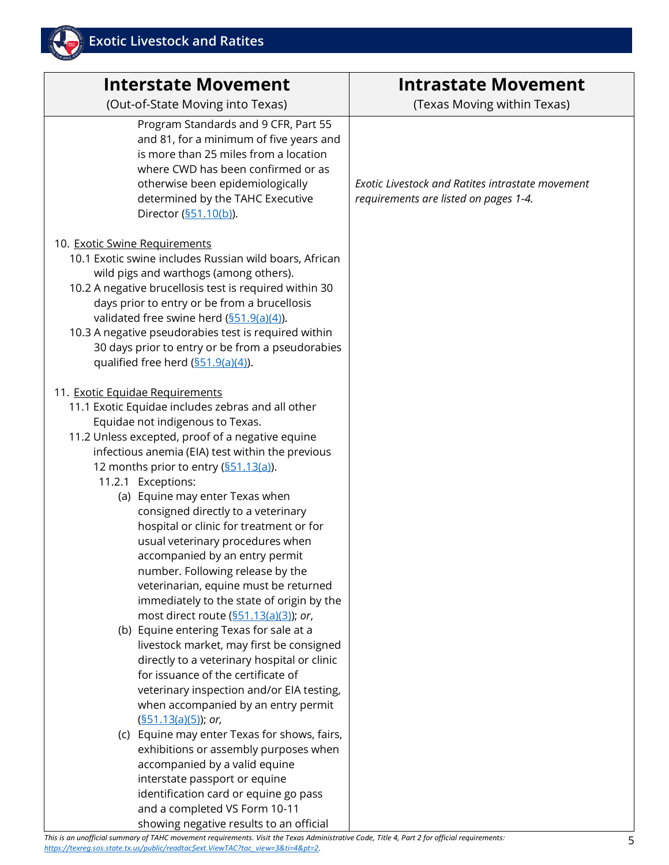

| <b>Interstate Movement</b><br>(Out-of-State Moving into Texas)                                                                                                                                                                                                                                                                                                                                                                                                                                                                                                                                                                                                                                                                                                                                                                                                                                                                                                                                           | <b>Intrastate Movement</b><br>(Texas Moving within Texas)                                 |
|----------------------------------------------------------------------------------------------------------------------------------------------------------------------------------------------------------------------------------------------------------------------------------------------------------------------------------------------------------------------------------------------------------------------------------------------------------------------------------------------------------------------------------------------------------------------------------------------------------------------------------------------------------------------------------------------------------------------------------------------------------------------------------------------------------------------------------------------------------------------------------------------------------------------------------------------------------------------------------------------------------|-------------------------------------------------------------------------------------------|
| Program Standards and 9 CFR, Part 55<br>and 81, for a minimum of five years and<br>is more than 25 miles from a location<br>where CWD has been confirmed or as<br>otherwise been epidemiologically<br>determined by the TAHC Executive<br>Director (§51.10(b)).                                                                                                                                                                                                                                                                                                                                                                                                                                                                                                                                                                                                                                                                                                                                          | Exotic Livestock and Ratites intrastate movement<br>requirements are listed on pages 1-4. |
| 10. Exotic Swine Requirements<br>10.1 Exotic swine includes Russian wild boars, African<br>wild pigs and warthogs (among others).<br>10.2 A negative brucellosis test is required within 30<br>days prior to entry or be from a brucellosis<br>validated free swine herd $(\frac{551.9(a)(4)}{4})$ .<br>10.3 A negative pseudorabies test is required within<br>30 days prior to entry or be from a pseudorabies<br>qualified free herd (\$51.9(a)(4)).                                                                                                                                                                                                                                                                                                                                                                                                                                                                                                                                                  |                                                                                           |
| 11. Exotic Equidae Requirements<br>11.1 Exotic Equidae includes zebras and all other<br>Equidae not indigenous to Texas.<br>11.2 Unless excepted, proof of a negative equine<br>infectious anemia (EIA) test within the previous<br>12 months prior to entry (\$51.13(a)).<br>11.2.1 Exceptions:<br>(a) Equine may enter Texas when<br>consigned directly to a veterinary<br>hospital or clinic for treatment or for<br>usual veterinary procedures when<br>accompanied by an entry permit<br>number. Following release by the<br>veterinarian, equine must be returned<br>immediately to the state of origin by the<br>most direct route (\$51.13(a)(3)); or,<br>(b) Equine entering Texas for sale at a<br>livestock market, may first be consigned<br>directly to a veterinary hospital or clinic<br>for issuance of the certificate of<br>veterinary inspection and/or EIA testing,<br>when accompanied by an entry permit<br>$(S51.13(a)(5))$ ; or,<br>(c) Equine may enter Texas for shows, fairs, |                                                                                           |
| exhibitions or assembly purposes when<br>accompanied by a valid equine<br>interstate passport or equine<br>identification card or equine go pass<br>and a completed VS Form 10-11<br>showing negative results to an official                                                                                                                                                                                                                                                                                                                                                                                                                                                                                                                                                                                                                                                                                                                                                                             |                                                                                           |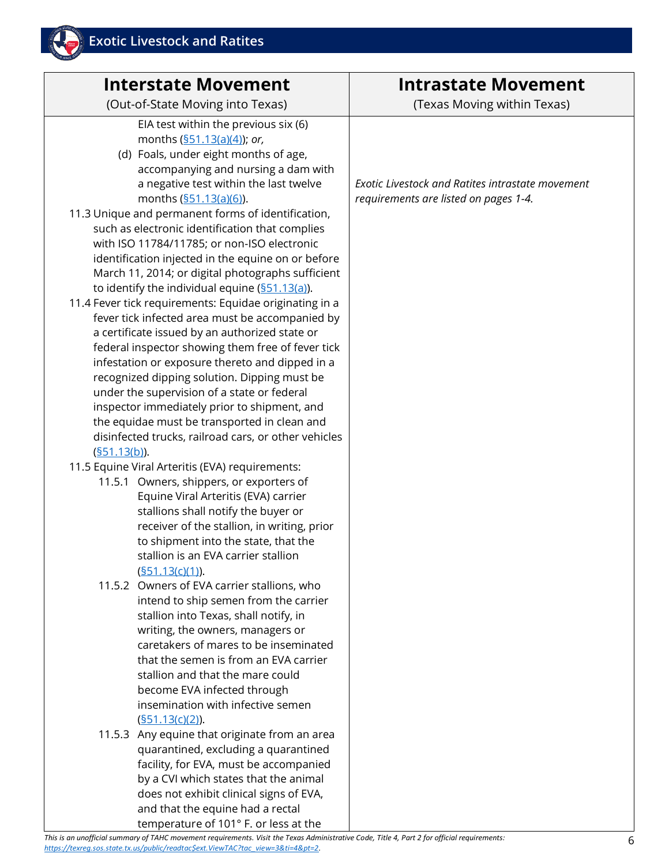

#### **Intrastate Movement**

(Texas Moving within Texas)

*Exotic Livestock and Ratites intrastate movement requirements are listed on pages 1-4.*

and that the equine had a rectal temperature of 101° F. or less at the